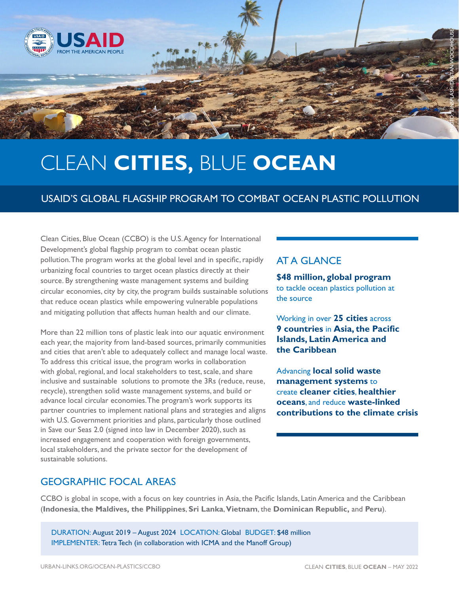

# CLEAN **CITIES,** BLUE **OCEAN**

## USAID'S GLOBAL FLAGSHIP PROGRAM TO COMBAT OCEAN PLASTIC POLLUTION

Clean Cities, Blue Ocean (CCBO) is the U.S. Agency for International Development's global flagship program to combat ocean plastic pollution. The program works at the global level and in specific, rapidly urbanizing focal countries to target ocean plastics directly at their source. By strengthening waste management systems and building circular economies, city by city, the program builds sustainable solutions that reduce ocean plastics while empowering vulnerable populations and mitigating pollution that affects human health and our climate.

More than 22 million tons of plastic leak into our aquatic environment each year, the majority from land-based sources, primarily communities and cities that aren't able to adequately collect and manage local waste. To address this critical issue, the program works in collaboration with global, regional, and local stakeholders to test, scale, and share inclusive and sustainable solutions to promote the 3Rs (reduce, reuse, recycle), strengthen solid waste management systems, and build or advance local circular economies. The program's work supports its partner countries to implement national plans and strategies and aligns with U.S. Government priorities and plans, particularly those outlined in Save our Seas 2.0 (signed into law in December 2020), such as increased engagement and cooperation with foreign governments, local stakeholders, and the private sector for the development of sustainable solutions.

## AT A GLANCE

**\$48 million, global program** to tackle ocean plastics pollution at the source

Working in over **25 cities** across **9 countries** in **Asia, the Pacific Islands, Latin America and the Caribbean**

Advancing **local solid waste management systems** to create **cleaner cities**, **healthier oceans**, and reduce **waste-linked contributions to the climate crisis**

### GEOGRAPHIC FOCAL AREAS

CCBO is global in scope, with a focus on key countries in Asia, the Pacific Islands, Latin America and the Caribbean (**Indonesia**, **the Maldives, the Philippines**, **Sri Lanka**, **Vietnam**, the **Dominican Republic,** and **Peru**).

DURATION: August 2019 – August 2024 LOCATION: Global BUDGET: \$48 million IMPLEMENTER: Tetra Tech (in collaboration with ICMA and the Manoff Group)